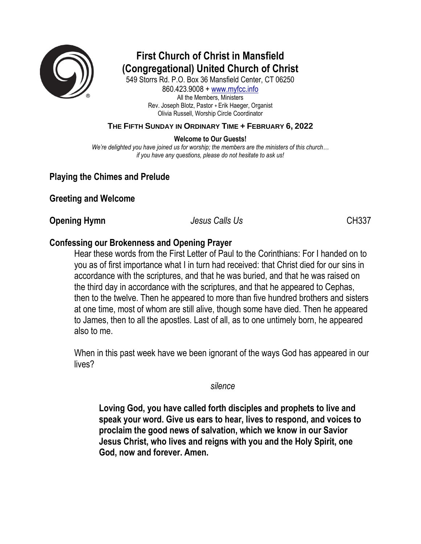

# **First Church of Christ in Mansfield (Congregational) United Church of Christ**

549 Storrs Rd. P.O. Box 36 Mansfield Center, CT 06250 860.423.9008 + [www.myfcc.info](http://www.myfcc.info/) All the Members, Ministers Rev. Joseph Blotz, Pastor + Erik Haeger, Organist Olivia Russell, Worship Circle Coordinator

### **THE FIFTH SUNDAY IN ORDINARY TIME + FEBRUARY 6, 2022**

**Welcome to Our Guests!**

*We're delighted you have joined us for worship; the members are the ministers of this church… if you have any questions, please do not hesitate to ask us!*

### **Playing the Chimes and Prelude**

**Greeting and Welcome**

**Opening Hymn** *<i>Jesus Calls Us CH337* 

### **Confessing our Brokenness and Opening Prayer**

Hear these words from the First Letter of Paul to the Corinthians: For I handed on to you as of first importance what I in turn had received: that Christ died for our sins in accordance with the scriptures, and that he was buried, and that he was raised on the third day in accordance with the scriptures, and that he appeared to Cephas, then to the twelve. Then he appeared to more than five hundred brothers and sisters at one time, most of whom are still alive, though some have died. Then he appeared to James, then to all the apostles. Last of all, as to one untimely born, he appeared also to me.

When in this past week have we been ignorant of the ways God has appeared in our lives?

*silence*

**Loving God, you have called forth disciples and prophets to live and speak your word. Give us ears to hear, lives to respond, and voices to proclaim the good news of salvation, which we know in our Savior Jesus Christ, who lives and reigns with you and the Holy Spirit, one God, now and forever. Amen.**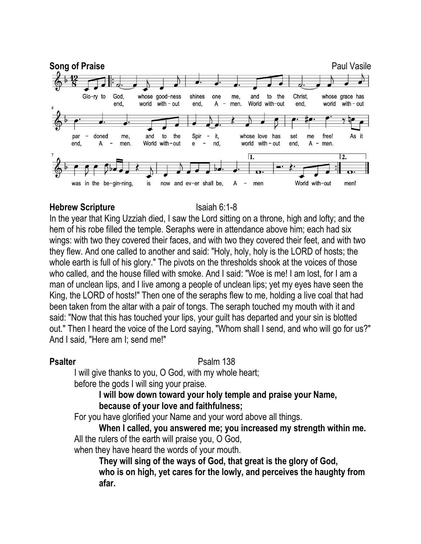

### **Hebrew Scripture** Isaiah 6:1-8

In the year that King Uzziah died, I saw the Lord sitting on a throne, high and lofty; and the hem of his robe filled the temple. Seraphs were in attendance above him; each had six wings: with two they covered their faces, and with two they covered their feet, and with two they flew. And one called to another and said: "Holy, holy, holy is the LORD of hosts; the whole earth is full of his glory." The pivots on the thresholds shook at the voices of those who called, and the house filled with smoke. And I said: "Woe is me! I am lost, for I am a man of unclean lips, and I live among a people of unclean lips; yet my eyes have seen the King, the LORD of hosts!" Then one of the seraphs flew to me, holding a live coal that had been taken from the altar with a pair of tongs. The seraph touched my mouth with it and said: "Now that this has touched your lips, your guilt has departed and your sin is blotted out." Then I heard the voice of the Lord saying, "Whom shall I send, and who will go for us?" And I said, "Here am I; send me!"

### **Psalter** Psalm 138

I will give thanks to you, O God, with my whole heart; before the gods I will sing your praise.

**I will bow down toward your holy temple and praise your Name, because of your love and faithfulness;** 

For you have glorified your Name and your word above all things.

**When I called, you answered me; you increased my strength within me.**  All the rulers of the earth will praise you, O God,

when they have heard the words of your mouth.

**They will sing of the ways of God, that great is the glory of God, who is on high, yet cares for the lowly, and perceives the haughty from afar.**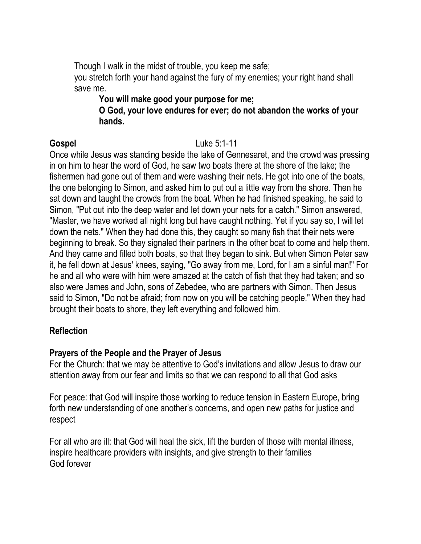Though I walk in the midst of trouble, you keep me safe;

you stretch forth your hand against the fury of my enemies; your right hand shall save me.

## **You will make good your purpose for me;**

**O God, your love endures for ever; do not abandon the works of your hands.** 

### **Gospel** Luke 5:1-11

Once while Jesus was standing beside the lake of Gennesaret, and the crowd was pressing in on him to hear the word of God, he saw two boats there at the shore of the lake; the fishermen had gone out of them and were washing their nets. He got into one of the boats, the one belonging to Simon, and asked him to put out a little way from the shore. Then he sat down and taught the crowds from the boat. When he had finished speaking, he said to Simon, "Put out into the deep water and let down your nets for a catch." Simon answered, "Master, we have worked all night long but have caught nothing. Yet if you say so, I will let down the nets." When they had done this, they caught so many fish that their nets were beginning to break. So they signaled their partners in the other boat to come and help them. And they came and filled both boats, so that they began to sink. But when Simon Peter saw it, he fell down at Jesus' knees, saying, "Go away from me, Lord, for I am a sinful man!" For he and all who were with him were amazed at the catch of fish that they had taken; and so also were James and John, sons of Zebedee, who are partners with Simon. Then Jesus said to Simon, "Do not be afraid; from now on you will be catching people." When they had brought their boats to shore, they left everything and followed him.

# **Reflection**

# **Prayers of the People and the Prayer of Jesus**

For the Church: that we may be attentive to God's invitations and allow Jesus to draw our attention away from our fear and limits so that we can respond to all that God asks

For peace: that God will inspire those working to reduce tension in Eastern Europe, bring forth new understanding of one another's concerns, and open new paths for justice and respect

For all who are ill: that God will heal the sick, lift the burden of those with mental illness, inspire healthcare providers with insights, and give strength to their families God forever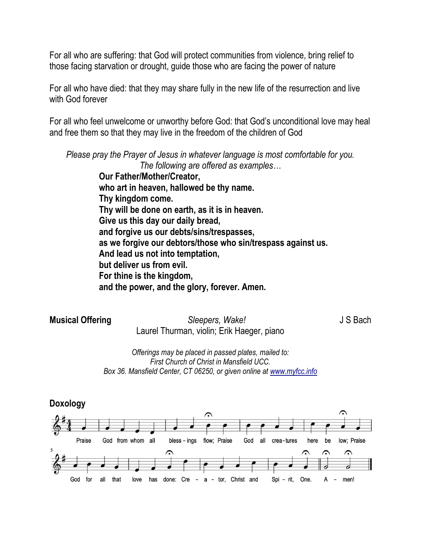For all who are suffering: that God will protect communities from violence, bring relief to those facing starvation or drought, guide those who are facing the power of nature

For all who have died: that they may share fully in the new life of the resurrection and live with God forever

For all who feel unwelcome or unworthy before God: that God's unconditional love may heal and free them so that they may live in the freedom of the children of God

*Please pray the Prayer of Jesus in whatever language is most comfortable for you. The following are offered as examples…*

> **Our Father/Mother/Creator, who art in heaven, hallowed be thy name. Thy kingdom come. Thy will be done on earth, as it is in heaven. Give us this day our daily bread, and forgive us our debts/sins/trespasses, as we forgive our debtors/those who sin/trespass against us. And lead us not into temptation, but deliver us from evil. For thine is the kingdom, and the power, and the glory, forever. Amen.**

**Musical Offering** *Sleepers, Wake!* J S Bach Laurel Thurman, violin; Erik Haeger, piano

*Offerings may be placed in passed plates, mailed to: First Church of Christ in Mansfield UCC. Box 36. Mansfield Center, CT 06250, or given online at [www.myfcc.info](http://www.myfcc.info/)*

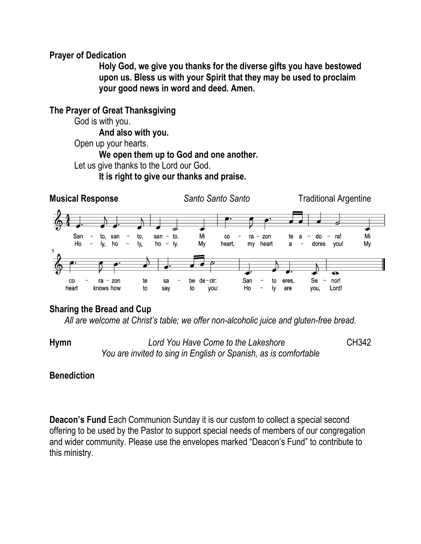### **Prayer of Dedication**

**Holy God, we give you thanks for the diverse gifts you have bestowed upon us. Bless us with your Spirit that they may be used to proclaim your good news in word and deed. Amen.**

# **The Prayer of Great Thanksgiving**

God is with you.

**And also with you.**

Open up your hearts.

**We open them up to God and one another.**

Let us give thanks to the Lord our God.

**It is right to give our thanks and praise.**



# **Sharing the Bread and Cup**

*All are welcome at Christ's table; we offer non-alcoholic juice and gluten-free bread.*

**Hymn** *Lord You Have Come to the Lakeshore* CH342 *You are invited to sing in English or Spanish, as is comfortable*

### **Benediction**

**Deacon's Fund** Each Communion Sunday it is our custom to collect a special second offering to be used by the Pastor to support special needs of members of our congregation and wider community. Please use the envelopes marked "Deacon's Fund" to contribute to this ministry.